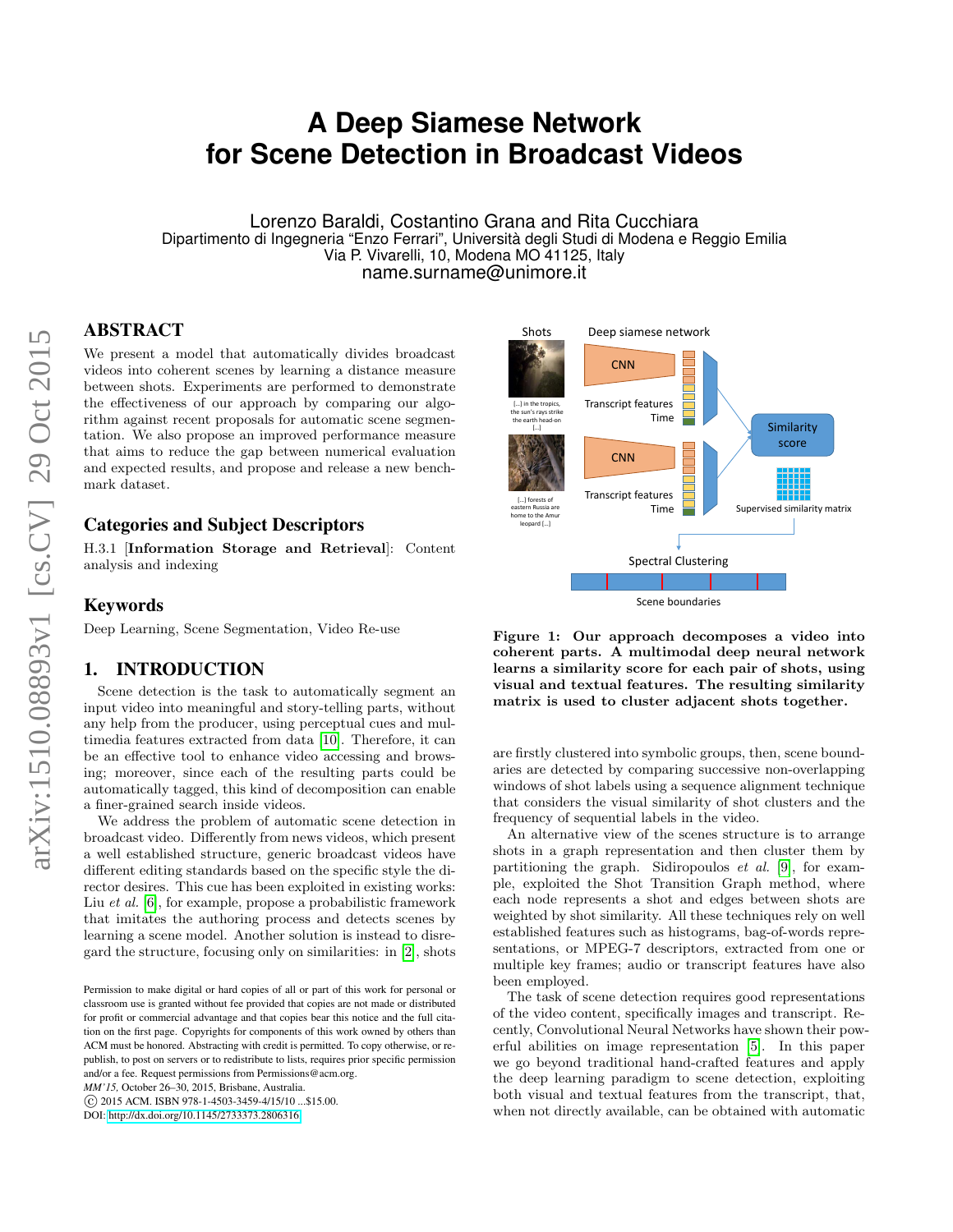# **A Deep Siamese Network for Scene Detection in Broadcast Videos**

Lorenzo Baraldi, Costantino Grana and Rita Cucchiara Dipartimento di Ingegneria "Enzo Ferrari", Università degli Studi di Modena e Reggio Emilia Via P. Vivarelli, 10, Modena MO 41125, Italy name.surname@unimore.it

# ABSTRACT

We present a model that automatically divides broadcast videos into coherent scenes by learning a distance measure between shots. Experiments are performed to demonstrate the effectiveness of our approach by comparing our algorithm against recent proposals for automatic scene segmentation. We also propose an improved performance measure that aims to reduce the gap between numerical evaluation and expected results, and propose and release a new benchmark dataset.

# Categories and Subject Descriptors

H.3.1 [Information Storage and Retrieval]: Content analysis and indexing

# Keywords

Deep Learning, Scene Segmentation, Video Re-use

# 1. INTRODUCTION

Scene detection is the task to automatically segment an input video into meaningful and story-telling parts, without any help from the producer, using perceptual cues and multimedia features extracted from data [\[10\]](#page-3-0). Therefore, it can be an effective tool to enhance video accessing and browsing; moreover, since each of the resulting parts could be automatically tagged, this kind of decomposition can enable a finer-grained search inside videos.

We address the problem of automatic scene detection in broadcast video. Differently from news videos, which present a well established structure, generic broadcast videos have different editing standards based on the specific style the director desires. This cue has been exploited in existing works: Liu et al. [\[6\]](#page-3-1), for example, propose a probabilistic framework that imitates the authoring process and detects scenes by learning a scene model. Another solution is instead to disregard the structure, focusing only on similarities: in [\[2\]](#page-3-2), shots

*MM'15,* October 26–30, 2015, Brisbane, Australia.

DOI: [http://dx.doi.org/10.1145/2733373.2806316.](http://dx.doi.org/10.1145/2733373.2806316)



<span id="page-0-0"></span>Figure 1: Our approach decomposes a video into coherent parts. A multimodal deep neural network learns a similarity score for each pair of shots, using visual and textual features. The resulting similarity matrix is used to cluster adjacent shots together.

are firstly clustered into symbolic groups, then, scene boundaries are detected by comparing successive non-overlapping windows of shot labels using a sequence alignment technique that considers the visual similarity of shot clusters and the frequency of sequential labels in the video.

An alternative view of the scenes structure is to arrange shots in a graph representation and then cluster them by partitioning the graph. Sidiropoulos et al. [\[9\]](#page-3-3), for example, exploited the Shot Transition Graph method, where each node represents a shot and edges between shots are weighted by shot similarity. All these techniques rely on well established features such as histograms, bag-of-words representations, or MPEG-7 descriptors, extracted from one or multiple key frames; audio or transcript features have also been employed.

The task of scene detection requires good representations of the video content, specifically images and transcript. Recently, Convolutional Neural Networks have shown their powerful abilities on image representation [\[5\]](#page-3-4). In this paper we go beyond traditional hand-crafted features and apply the deep learning paradigm to scene detection, exploiting both visual and textual features from the transcript, that, when not directly available, can be obtained with automatic

Permission to make digital or hard copies of all or part of this work for personal or classroom use is granted without fee provided that copies are not made or distributed for profit or commercial advantage and that copies bear this notice and the full citation on the first page. Copyrights for components of this work owned by others than ACM must be honored. Abstracting with credit is permitted. To copy otherwise, or republish, to post on servers or to redistribute to lists, requires prior specific permission and/or a fee. Request permissions from Permissions@acm.org.

c 2015 ACM. ISBN 978-1-4503-3459-4/15/10 ...\$15.00.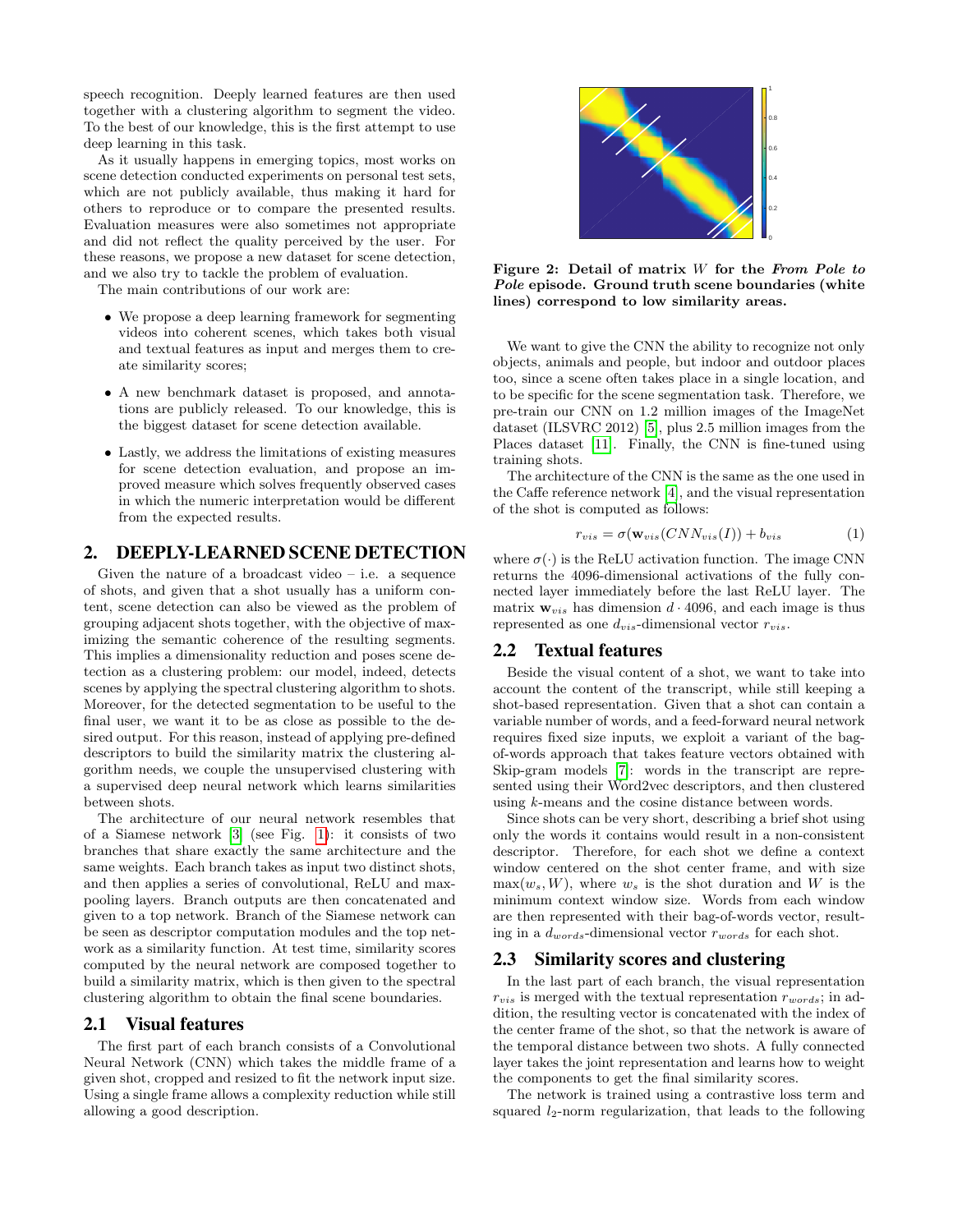speech recognition. Deeply learned features are then used together with a clustering algorithm to segment the video. To the best of our knowledge, this is the first attempt to use deep learning in this task.

As it usually happens in emerging topics, most works on scene detection conducted experiments on personal test sets, which are not publicly available, thus making it hard for others to reproduce or to compare the presented results. Evaluation measures were also sometimes not appropriate and did not reflect the quality perceived by the user. For these reasons, we propose a new dataset for scene detection, and we also try to tackle the problem of evaluation.

The main contributions of our work are:

- We propose a deep learning framework for segmenting videos into coherent scenes, which takes both visual and textual features as input and merges them to create similarity scores;
- A new benchmark dataset is proposed, and annotations are publicly released. To our knowledge, this is the biggest dataset for scene detection available.
- Lastly, we address the limitations of existing measures for scene detection evaluation, and propose an improved measure which solves frequently observed cases in which the numeric interpretation would be different from the expected results.

# 2. DEEPLY-LEARNED SCENE DETECTION

Given the nature of a broadcast video – i.e. a sequence of shots, and given that a shot usually has a uniform content, scene detection can also be viewed as the problem of grouping adjacent shots together, with the objective of maximizing the semantic coherence of the resulting segments. This implies a dimensionality reduction and poses scene detection as a clustering problem: our model, indeed, detects scenes by applying the spectral clustering algorithm to shots. Moreover, for the detected segmentation to be useful to the final user, we want it to be as close as possible to the desired output. For this reason, instead of applying pre-defined descriptors to build the similarity matrix the clustering algorithm needs, we couple the unsupervised clustering with a supervised deep neural network which learns similarities between shots.

The architecture of our neural network resembles that of a Siamese network [\[3\]](#page-3-5) (see Fig. [1\)](#page-0-0): it consists of two branches that share exactly the same architecture and the same weights. Each branch takes as input two distinct shots, and then applies a series of convolutional, ReLU and maxpooling layers. Branch outputs are then concatenated and given to a top network. Branch of the Siamese network can be seen as descriptor computation modules and the top network as a similarity function. At test time, similarity scores computed by the neural network are composed together to build a similarity matrix, which is then given to the spectral clustering algorithm to obtain the final scene boundaries.

#### 2.1 Visual features

The first part of each branch consists of a Convolutional Neural Network (CNN) which takes the middle frame of a given shot, cropped and resized to fit the network input size. Using a single frame allows a complexity reduction while still allowing a good description.



<span id="page-1-0"></span>Figure 2: Detail of matrix W for the From Pole to Pole episode. Ground truth scene boundaries (white lines) correspond to low similarity areas.

We want to give the CNN the ability to recognize not only objects, animals and people, but indoor and outdoor places too, since a scene often takes place in a single location, and to be specific for the scene segmentation task. Therefore, we pre-train our CNN on 1.2 million images of the ImageNet dataset (ILSVRC 2012) [\[5\]](#page-3-4), plus 2.5 million images from the Places dataset [\[11\]](#page-3-6). Finally, the CNN is fine-tuned using training shots.

The architecture of the CNN is the same as the one used in the Caffe reference network [\[4\]](#page-3-7), and the visual representation of the shot is computed as follows:

$$
r_{vis} = \sigma(\mathbf{w}_{vis}(CNN_{vis}(I)) + b_{vis}
$$
 (1)

where  $\sigma(\cdot)$  is the ReLU activation function. The image CNN returns the 4096-dimensional activations of the fully connected layer immediately before the last ReLU layer. The matrix  $\mathbf{w}_{vis}$  has dimension  $d \cdot 4096$ , and each image is thus represented as one  $d_{vis}$ -dimensional vector  $r_{vis}$ .

#### 2.2 Textual features

Beside the visual content of a shot, we want to take into account the content of the transcript, while still keeping a shot-based representation. Given that a shot can contain a variable number of words, and a feed-forward neural network requires fixed size inputs, we exploit a variant of the bagof-words approach that takes feature vectors obtained with Skip-gram models [\[7\]](#page-3-8): words in the transcript are represented using their Word2vec descriptors, and then clustered using k-means and the cosine distance between words.

Since shots can be very short, describing a brief shot using only the words it contains would result in a non-consistent descriptor. Therefore, for each shot we define a context window centered on the shot center frame, and with size  $\max(w_s, W)$ , where  $w_s$  is the shot duration and W is the minimum context window size. Words from each window are then represented with their bag-of-words vector, resulting in a  $d_{words}$ -dimensional vector  $r_{words}$  for each shot.

#### 2.3 Similarity scores and clustering

In the last part of each branch, the visual representation  $r_{vis}$  is merged with the textual representation  $r_{words}$ ; in addition, the resulting vector is concatenated with the index of the center frame of the shot, so that the network is aware of the temporal distance between two shots. A fully connected layer takes the joint representation and learns how to weight the components to get the final similarity scores.

The network is trained using a contrastive loss term and squared l2-norm regularization, that leads to the following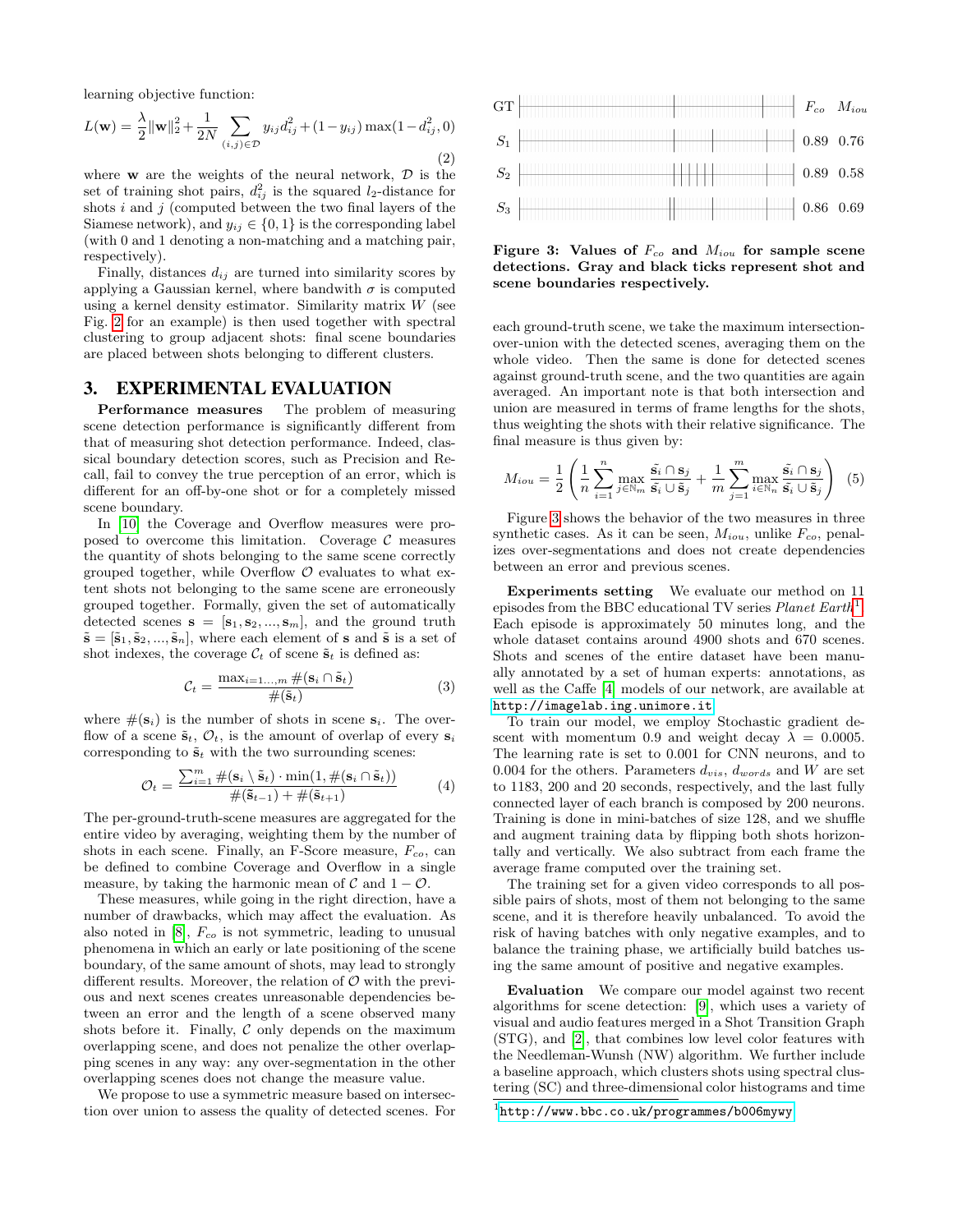learning objective function:

$$
L(\mathbf{w}) = \frac{\lambda}{2} ||\mathbf{w}||_2^2 + \frac{1}{2N} \sum_{(i,j) \in \mathcal{D}} y_{ij} d_{ij}^2 + (1 - y_{ij}) \max(1 - d_{ij}^2, 0)
$$
\n(2)

where  $\bf{w}$  are the weights of the neural network,  $\mathcal D$  is the set of training shot pairs,  $d_{ij}^2$  is the squared  $l_2$ -distance for shots  $i$  and  $j$  (computed between the two final layers of the Siamese network), and  $y_{ij} \in \{0,1\}$  is the corresponding label (with 0 and 1 denoting a non-matching and a matching pair, respectively).

Finally, distances  $d_{ij}$  are turned into similarity scores by applying a Gaussian kernel, where bandwith  $\sigma$  is computed using a kernel density estimator. Similarity matrix W (see Fig. [2](#page-1-0) for an example) is then used together with spectral clustering to group adjacent shots: final scene boundaries are placed between shots belonging to different clusters.

# 3. EXPERIMENTAL EVALUATION

Performance measures The problem of measuring scene detection performance is significantly different from that of measuring shot detection performance. Indeed, classical boundary detection scores, such as Precision and Recall, fail to convey the true perception of an error, which is different for an off-by-one shot or for a completely missed scene boundary.

In [\[10\]](#page-3-0) the Coverage and Overflow measures were proposed to overcome this limitation. Coverage  $C$  measures the quantity of shots belonging to the same scene correctly grouped together, while Overflow  $\mathcal O$  evaluates to what extent shots not belonging to the same scene are erroneously grouped together. Formally, given the set of automatically detected scenes  $\mathbf{s} = [\mathbf{s}_1, \mathbf{s}_2, ..., \mathbf{s}_m]$ , and the ground truth  $\tilde{\mathbf{s}} = [\tilde{\mathbf{s}}_1, \tilde{\mathbf{s}}_2, ..., \tilde{\mathbf{s}}_n],$  where each element of **s** and  $\tilde{\mathbf{s}}$  is a set of shot indexes, the coverage  $\mathcal{C}_t$  of scene  $\tilde{\mathbf{s}}_t$  is defined as:

$$
\mathcal{C}_t = \frac{\max_{i=1...,m} \#(\mathbf{s}_i \cap \tilde{\mathbf{s}}_t)}{\#(\tilde{\mathbf{s}}_t)}
$$
(3)

where  $\#(\mathbf{s}_i)$  is the number of shots in scene  $\mathbf{s}_i$ . The overflow of a scene  $\tilde{\mathbf{s}}_t$ ,  $\mathcal{O}_t$ , is the amount of overlap of every  $\mathbf{s}_i$ corresponding to  $\tilde{\mathbf{s}}_t$  with the two surrounding scenes:

$$
\mathcal{O}_t = \frac{\sum_{i=1}^m \#(\mathbf{s}_i \setminus \tilde{\mathbf{s}}_t) \cdot \min(1, \#(\mathbf{s}_i \cap \tilde{\mathbf{s}}_t))}{\#(\tilde{\mathbf{s}}_{t-1}) + \#(\tilde{\mathbf{s}}_{t+1})}
$$
(4)

The per-ground-truth-scene measures are aggregated for the entire video by averaging, weighting them by the number of shots in each scene. Finally, an F-Score measure,  $F_{co}$ , can be defined to combine Coverage and Overflow in a single measure, by taking the harmonic mean of  $\mathcal C$  and  $1 - \mathcal O$ .

These measures, while going in the right direction, have a number of drawbacks, which may affect the evaluation. As also noted in  $[8]$ ,  $F_{co}$  is not symmetric, leading to unusual phenomena in which an early or late positioning of the scene boundary, of the same amount of shots, may lead to strongly different results. Moreover, the relation of  $\mathcal O$  with the previous and next scenes creates unreasonable dependencies between an error and the length of a scene observed many shots before it. Finally,  $\mathcal C$  only depends on the maximum overlapping scene, and does not penalize the other overlapping scenes in any way: any over-segmentation in the other overlapping scenes does not change the measure value.

We propose to use a symmetric measure based on intersection over union to assess the quality of detected scenes. For



<span id="page-2-0"></span>Figure 3: Values of  $F_{co}$  and  $M_{iou}$  for sample scene detections. Gray and black ticks represent shot and scene boundaries respectively.

each ground-truth scene, we take the maximum intersectionover-union with the detected scenes, averaging them on the whole video. Then the same is done for detected scenes against ground-truth scene, and the two quantities are again averaged. An important note is that both intersection and union are measured in terms of frame lengths for the shots, thus weighting the shots with their relative significance. The final measure is thus given by:

$$
M_{iou} = \frac{1}{2} \left( \frac{1}{n} \sum_{i=1}^{n} \max_{j \in \mathbb{N}_m} \frac{\tilde{\mathbf{s}}_i \cap \mathbf{s}_j}{\tilde{\mathbf{s}}_i \cup \tilde{\mathbf{s}}_j} + \frac{1}{m} \sum_{j=1}^{m} \max_{i \in \mathbb{N}_n} \frac{\tilde{\mathbf{s}}_i \cap \mathbf{s}_j}{\tilde{\mathbf{s}}_i \cup \tilde{\mathbf{s}}_j} \right) (5)
$$

Figure [3](#page-2-0) shows the behavior of the two measures in three synthetic cases. As it can be seen,  $M_{iou}$ , unlike  $F_{co}$ , penalizes over-segmentations and does not create dependencies between an error and previous scenes.

Experiments setting We evaluate our method on 11 episodes from the BBC educational TV series  $Planet Earth<sup>1</sup>$  $Planet Earth<sup>1</sup>$  $Planet Earth<sup>1</sup>$ . Each episode is approximately 50 minutes long, and the whole dataset contains around 4900 shots and 670 scenes. Shots and scenes of the entire dataset have been manually annotated by a set of human experts: annotations, as well as the Caffe [\[4\]](#page-3-7) models of our network, are available at <http://imagelab.ing.unimore.it>.

To train our model, we employ Stochastic gradient descent with momentum 0.9 and weight decay  $\lambda = 0.0005$ . The learning rate is set to 0.001 for CNN neurons, and to 0.004 for the others. Parameters  $d_{vis}$ ,  $d_{words}$  and W are set to 1183, 200 and 20 seconds, respectively, and the last fully connected layer of each branch is composed by 200 neurons. Training is done in mini-batches of size 128, and we shuffle and augment training data by flipping both shots horizontally and vertically. We also subtract from each frame the average frame computed over the training set.

The training set for a given video corresponds to all possible pairs of shots, most of them not belonging to the same scene, and it is therefore heavily unbalanced. To avoid the risk of having batches with only negative examples, and to balance the training phase, we artificially build batches using the same amount of positive and negative examples.

Evaluation We compare our model against two recent algorithms for scene detection: [\[9\]](#page-3-3), which uses a variety of visual and audio features merged in a Shot Transition Graph (STG), and [\[2\]](#page-3-2), that combines low level color features with the Needleman-Wunsh (NW) algorithm. We further include a baseline approach, which clusters shots using spectral clustering (SC) and three-dimensional color histograms and time

<span id="page-2-1"></span> $1$ <http://www.bbc.co.uk/programmes/b006mywy>